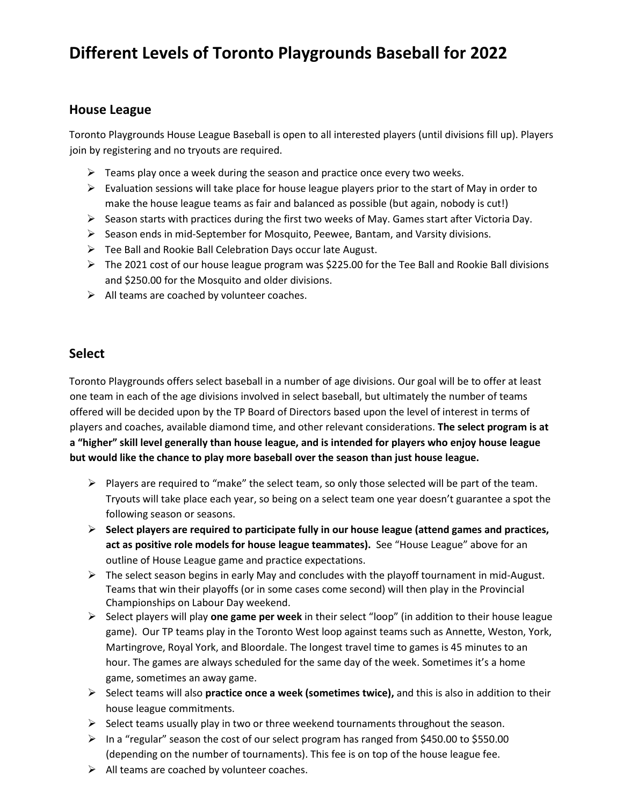## **Different Levels of Toronto Playgrounds Baseball for 2022**

## **House League**

Toronto Playgrounds House League Baseball is open to all interested players (until divisions fill up). Players join by registering and no tryouts are required.

- $\triangleright$  Teams play once a week during the season and practice once every two weeks.
- $\triangleright$  Evaluation sessions will take place for house league players prior to the start of May in order to make the house league teams as fair and balanced as possible (but again, nobody is cut!)
- $\triangleright$  Season starts with practices during the first two weeks of May. Games start after Victoria Day.
- $\triangleright$  Season ends in mid-September for Mosquito, Peewee, Bantam, and Varsity divisions.
- $\triangleright$  Tee Ball and Rookie Ball Celebration Days occur late August.
- $\triangleright$  The 2021 cost of our house league program was \$225.00 for the Tee Ball and Rookie Ball divisions and \$250.00 for the Mosquito and older divisions.
- $\triangleright$  All teams are coached by volunteer coaches.

## **Select**

Toronto Playgrounds offers select baseball in a number of age divisions. Our goal will be to offer at least one team in each of the age divisions involved in select baseball, but ultimately the number of teams offered will be decided upon by the TP Board of Directors based upon the level of interest in terms of players and coaches, available diamond time, and other relevant considerations. **The select program is at a "higher" skill level generally than house league, and is intended for players who enjoy house league but would like the chance to play more baseball over the season than just house league.**

- $\triangleright$  Players are required to "make" the select team, so only those selected will be part of the team. Tryouts will take place each year, so being on a select team one year doesn't guarantee a spot the following season or seasons.
- ➢ **Select players are required to participate fully in our house league (attend games and practices, act as positive role models for house league teammates).** See "House League" above for an outline of House League game and practice expectations.
- $\triangleright$  The select season begins in early May and concludes with the playoff tournament in mid-August. Teams that win their playoffs (or in some cases come second) will then play in the Provincial Championships on Labour Day weekend.
- ➢ Select players will play **one game per week** in their select "loop" (in addition to their house league game). Our TP teams play in the Toronto West loop against teams such as Annette, Weston, York, Martingrove, Royal York, and Bloordale. The longest travel time to games is 45 minutes to an hour. The games are always scheduled for the same day of the week. Sometimes it's a home game, sometimes an away game.
- ➢ Select teams will also **practice once a week (sometimes twice),** and this is also in addition to their house league commitments.
- $\triangleright$  Select teams usually play in two or three weekend tournaments throughout the season.
- ➢ In a "regular" season the cost of our select program has ranged from \$450.00 to \$550.00 (depending on the number of tournaments). This fee is on top of the house league fee.
- $\triangleright$  All teams are coached by volunteer coaches.